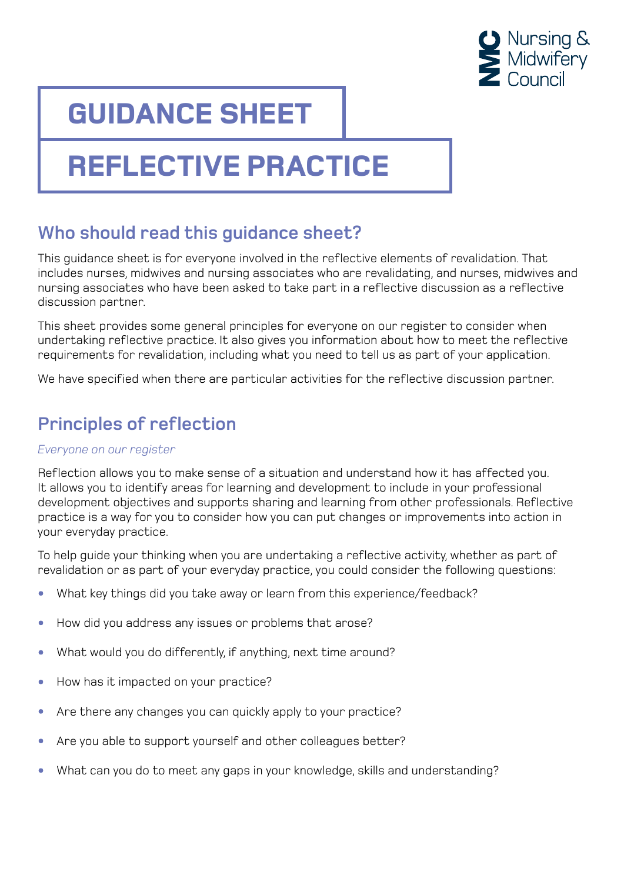

## **GUIDANCE SHEET**

# **REFLECTIVE PRACTICE**

### **Who should read this guidance sheet?**

This guidance sheet is for everyone involved in the reflective elements of revalidation. That includes nurses, midwives and nursing associates who are revalidating, and nurses, midwives and nursing associates who have been asked to take part in a reflective discussion as a reflective discussion partner.

This sheet provides some general principles for everyone on our register to consider when undertaking reflective practice. It also gives you information about how to meet the reflective requirements for revalidation, including what you need to tell us as part of your application.

We have specified when there are particular activities for the reflective discussion partner.

### **Principles of reflection**

#### *Everyone on our register*

Reflection allows you to make sense of a situation and understand how it has affected you. It allows you to identify areas for learning and development to include in your professional development objectives and supports sharing and learning from other professionals. Reflective practice is a way for you to consider how you can put changes or improvements into action in your everyday practice.

To help guide your thinking when you are undertaking a reflective activity, whether as part of revalidation or as part of your everyday practice, you could consider the following questions:

- What key things did you take away or learn from this experience/feedback?
- How did you address any issues or problems that arose?
- What would you do differently, if anything, next time around?
- How has it impacted on your practice?
- Are there any changes you can quickly apply to your practice?
- Are you able to support yourself and other colleagues better?
- What can you do to meet any gaps in your knowledge, skills and understanding?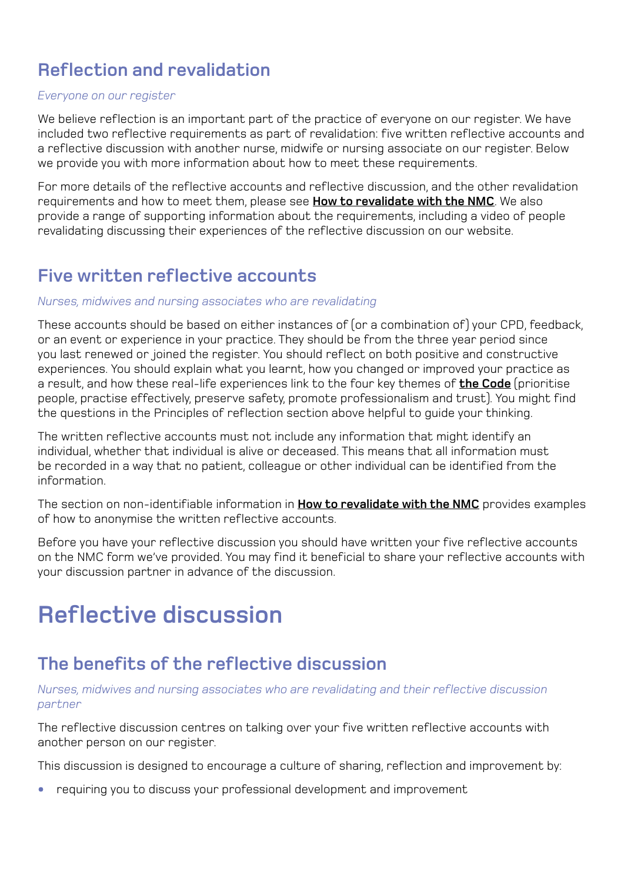### **Reflection and revalidation**

#### *Everyone on our register*

We believe reflection is an important part of the practice of everyone on our register. We have included two reflective requirements as part of revalidation: five written reflective accounts and a reflective discussion with another nurse, midwife or nursing associate on our register. Below we provide you with more information about how to meet these requirements.

For more details of the reflective accounts and reflective discussion, and the other revalidation requirements and how to meet them, please see **[How to revalidate with the NMC](https://www.nmc.org.uk/globalassets/sitedocuments/revalidation/how-to-revalidate-booklet.pdf)**. We also provide a range of supporting information about the requirements, including a video of people revalidating discussing their experiences of the reflective discussion on our website.

#### **Five written reflective accounts**

#### *Nurses, midwives and nursing associates who are revalidating*

These accounts should be based on either instances of (or a combination of) your CPD, feedback, or an event or experience in your practice. They should be from the three year period since you last renewed or joined the register. You should reflect on both positive and constructive experiences. You should explain what you learnt, how you changed or improved your practice as a result, and how these real-life experiences link to the four key themes of **[the Code](https://www.nmc.org.uk/globalassets/sitedocuments/nmc-publications/nmc-code.pdf)** (prioritise people, practise effectively, preserve safety, promote professionalism and trust). You might find the questions in the Principles of reflection section above helpful to guide your thinking.

The written reflective accounts must not include any information that might identify an individual, whether that individual is alive or deceased. This means that all information must be recorded in a way that no patient, colleague or other individual can be identified from the information.

The section on non-identifiable information in **[How to revalidate with the NMC](https://www.nmc.org.uk/globalassets/sitedocuments/revalidation/how-to-revalidate-booklet.pdf)** provides examples of how to anonymise the written reflective accounts.

Before you have your reflective discussion you should have written your five reflective accounts on the NMC form we've provided. You may find it beneficial to share your reflective accounts with your discussion partner in advance of the discussion.

## **Reflective discussion**

#### **The benefits of the reflective discussion**

#### *Nurses, midwives and nursing associates who are revalidating and their reflective discussion partner*

The reflective discussion centres on talking over your five written reflective accounts with another person on our register.

This discussion is designed to encourage a culture of sharing, reflection and improvement by:

• requiring you to discuss your professional development and improvement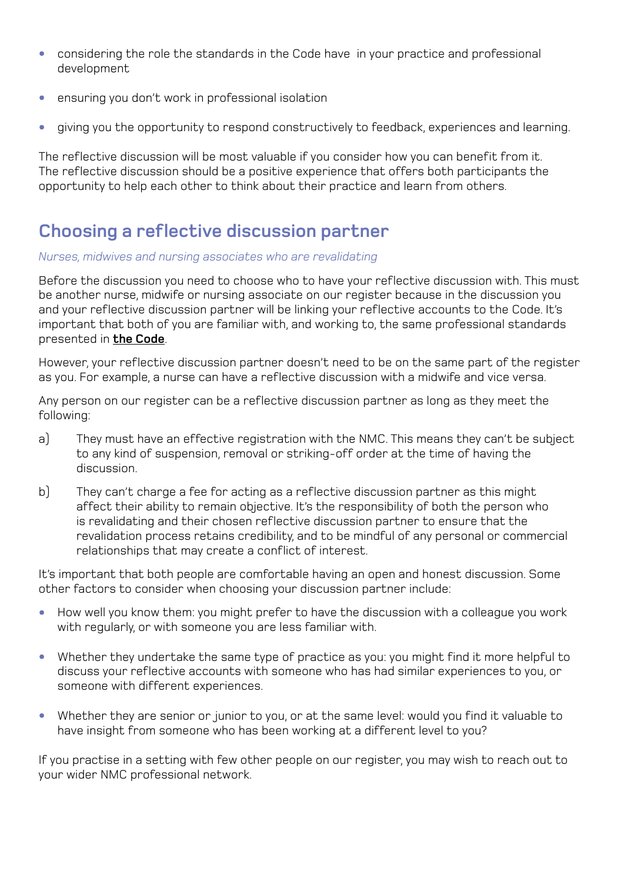- considering the role the standards in the Code have in your practice and professional development
- ensuring you don't work in professional isolation
- giving you the opportunity to respond constructively to feedback, experiences and learning.

The reflective discussion will be most valuable if you consider how you can benefit from it. The reflective discussion should be a positive experience that offers both participants the opportunity to help each other to think about their practice and learn from others.

### **Choosing a reflective discussion partner**

#### *Nurses, midwives and nursing associates who are revalidating*

Before the discussion you need to choose who to have your reflective discussion with. This must be another nurse, midwife or nursing associate on our register because in the discussion you and your reflective discussion partner will be linking your reflective accounts to the Code. It's important that both of you are familiar with, and working to, the same professional standards presented in **[the Code](https://www.nmc.org.uk/globalassets/sitedocuments/nmc-publications/nmc-code.pdf)**.

However, your reflective discussion partner doesn't need to be on the same part of the register as you. For example, a nurse can have a reflective discussion with a midwife and vice versa.

Any person on our register can be a reflective discussion partner as long as they meet the following:

- a) They must have an effective registration with the NMC. This means they can't be subject to any kind of suspension, removal or striking-off order at the time of having the discussion.
- b) They can't charge a fee for acting as a reflective discussion partner as this might affect their ability to remain objective. It's the responsibility of both the person who is revalidating and their chosen reflective discussion partner to ensure that the revalidation process retains credibility, and to be mindful of any personal or commercial relationships that may create a conflict of interest.

It's important that both people are comfortable having an open and honest discussion. Some other factors to consider when choosing your discussion partner include:

- How well you know them: you might prefer to have the discussion with a colleague you work with regularly, or with someone you are less familiar with.
- Whether they undertake the same type of practice as you: you might find it more helpful to discuss your reflective accounts with someone who has had similar experiences to you, or someone with different experiences.
- Whether they are senior or junior to you, or at the same level: would you find it valuable to have insight from someone who has been working at a different level to you?

If you practise in a setting with few other people on our register, you may wish to reach out to your wider NMC professional network.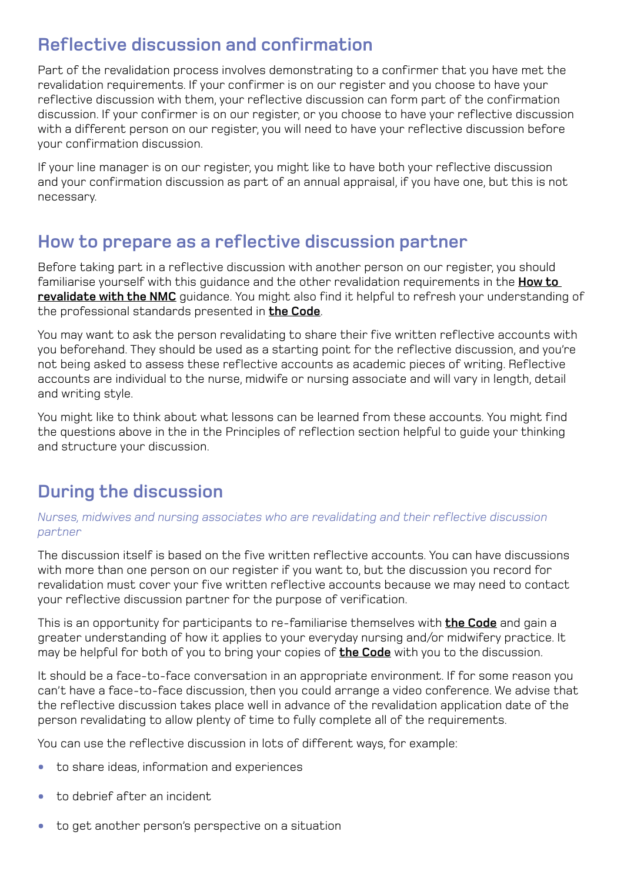#### **Reflective discussion and confirmation**

Part of the revalidation process involves demonstrating to a confirmer that you have met the revalidation requirements. If your confirmer is on our register and you choose to have your reflective discussion with them, your reflective discussion can form part of the confirmation discussion. If your confirmer is on our register, or you choose to have your reflective discussion with a different person on our register, you will need to have your reflective discussion before your confirmation discussion.

If your line manager is on our register, you might like to have both your reflective discussion and your confirmation discussion as part of an annual appraisal, if you have one, but this is not necessary.

### **How to prepare as a reflective discussion partner**

Before taking part in a reflective discussion with another person on our register, you should familiarise yourself with this guidance and the other revalidation requirements in the **[How to](https://www.nmc.org.uk/globalassets/sitedocuments/revalidation/how-to-revalidate-booklet.pdf)  [revalidate with the NMC](https://www.nmc.org.uk/globalassets/sitedocuments/revalidation/how-to-revalidate-booklet.pdf)** guidance. You might also find it helpful to refresh your understanding of the professional standards presented in **[the Code](https://www.nmc.org.uk/globalassets/sitedocuments/nmc-publications/nmc-code.pdf)**.

You may want to ask the person revalidating to share their five written reflective accounts with you beforehand. They should be used as a starting point for the reflective discussion, and you're not being asked to assess these reflective accounts as academic pieces of writing. Reflective accounts are individual to the nurse, midwife or nursing associate and will vary in length, detail and writing style.

You might like to think about what lessons can be learned from these accounts. You might find the questions above in the in the Principles of reflection section helpful to guide your thinking and structure your discussion.

### **During the discussion**

#### *Nurses, midwives and nursing associates who are revalidating and their reflective discussion partner*

The discussion itself is based on the five written reflective accounts. You can have discussions with more than one person on our register if you want to, but the discussion you record for revalidation must cover your five written reflective accounts because we may need to contact your reflective discussion partner for the purpose of verification.

This is an opportunity for participants to re-familiarise themselves with **[the Code](https://www.nmc.org.uk/globalassets/sitedocuments/nmc-publications/nmc-code.pdf)** and gain a greater understanding of how it applies to your everyday nursing and/or midwifery practice. It may be helpful for both of you to bring your copies of **[the Code](https://www.nmc.org.uk/globalassets/sitedocuments/nmc-publications/nmc-code.pdf)** with you to the discussion.

It should be a face-to-face conversation in an appropriate environment. If for some reason you can't have a face-to-face discussion, then you could arrange a video conference. We advise that the reflective discussion takes place well in advance of the revalidation application date of the person revalidating to allow plenty of time to fully complete all of the requirements.

You can use the reflective discussion in lots of different ways, for example:

- to share ideas, information and experiences
- to debrief after an incident
- to get another person's perspective on a situation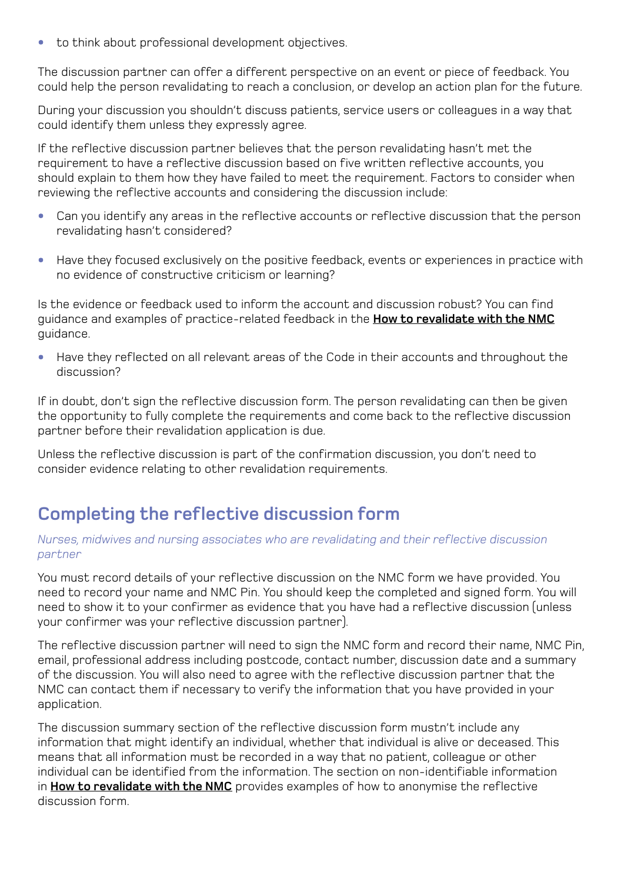• to think about professional development objectives.

The discussion partner can offer a different perspective on an event or piece of feedback. You could help the person revalidating to reach a conclusion, or develop an action plan for the future.

During your discussion you shouldn't discuss patients, service users or colleagues in a way that could identify them unless they expressly agree.

If the reflective discussion partner believes that the person revalidating hasn't met the requirement to have a reflective discussion based on five written reflective accounts, you should explain to them how they have failed to meet the requirement. Factors to consider when reviewing the reflective accounts and considering the discussion include:

- Can you identify any areas in the reflective accounts or reflective discussion that the person revalidating hasn't considered?
- Have they focused exclusively on the positive feedback, events or experiences in practice with no evidence of constructive criticism or learning?

Is the evidence or feedback used to inform the account and discussion robust? You can find guidance and examples of practice-related feedback in the **[How to revalidate with the NMC](https://www.nmc.org.uk/globalassets/sitedocuments/revalidation/how-to-revalidate-booklet.pdf)** guidance.

• Have they reflected on all relevant areas of the Code in their accounts and throughout the discussion?

If in doubt, don't sign the reflective discussion form. The person revalidating can then be given the opportunity to fully complete the requirements and come back to the reflective discussion partner before their revalidation application is due.

Unless the reflective discussion is part of the confirmation discussion, you don't need to consider evidence relating to other revalidation requirements.

### **Completing the reflective discussion form**

#### *Nurses, midwives and nursing associates who are revalidating and their reflective discussion partner*

You must record details of your reflective discussion on the NMC form we have provided. You need to record your name and NMC Pin. You should keep the completed and signed form. You will need to show it to your confirmer as evidence that you have had a reflective discussion (unless your confirmer was your reflective discussion partner).

The reflective discussion partner will need to sign the NMC form and record their name, NMC Pin, email, professional address including postcode, contact number, discussion date and a summary of the discussion. You will also need to agree with the reflective discussion partner that the NMC can contact them if necessary to verify the information that you have provided in your application.

The discussion summary section of the reflective discussion form mustn't include any information that might identify an individual, whether that individual is alive or deceased. This means that all information must be recorded in a way that no patient, colleague or other individual can be identified from the information. The section on non-identifiable information in **[How to revalidate with the NMC](https://www.nmc.org.uk/globalassets/sitedocuments/revalidation/how-to-revalidate-booklet.pdf)** provides examples of how to anonymise the reflective discussion form.